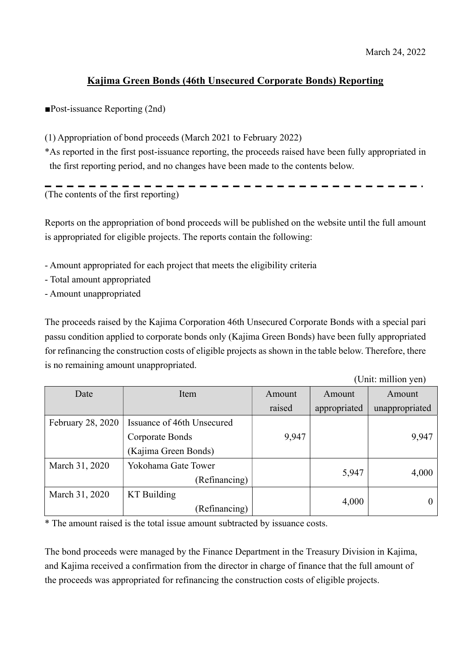(Unit: million yen)

## Kajima Green Bonds (46th Unsecured Corporate Bonds) Reporting

■Post-issuance Reporting (2nd)

(1) Appropriation of bond proceeds (March 2021 to February 2022)

\*As reported in the first post-issuance reporting, the proceeds raised have been fully appropriated in the first reporting period, and no changes have been made to the contents below.

(The contents of the first reporting)

Reports on the appropriation of bond proceeds will be published on the website until the full amount is appropriated for eligible projects. The reports contain the following:

- Amount appropriated for each project that meets the eligibility criteria
- Total amount appropriated
- Amount unappropriated

The proceeds raised by the Kajima Corporation 46th Unsecured Corporate Bonds with a special pari passu condition applied to corporate bonds only (Kajima Green Bonds) have been fully appropriated for refinancing the construction costs of eligible projects as shown in the table below. Therefore, there is no remaining amount unappropriated.

|                   |                            |        |              | UHII. HIIIIIUII YUIJ |
|-------------------|----------------------------|--------|--------------|----------------------|
| Date              | Item                       | Amount | Amount       | Amount               |
|                   |                            | raised | appropriated | unappropriated       |
| February 28, 2020 | Issuance of 46th Unsecured |        |              |                      |
|                   | Corporate Bonds            | 9,947  |              | 9,947                |
|                   | (Kajima Green Bonds)       |        |              |                      |
| March 31, 2020    | Yokohama Gate Tower        |        |              |                      |
|                   | (Refinancing)              |        | 5,947        | 4,000                |
| March 31, 2020    | KT Building                |        |              |                      |
|                   | (Refinancing)              |        | 4,000        |                      |

\* The amount raised is the total issue amount subtracted by issuance costs.

The bond proceeds were managed by the Finance Department in the Treasury Division in Kajima, and Kajima received a confirmation from the director in charge of finance that the full amount of the proceeds was appropriated for refinancing the construction costs of eligible projects.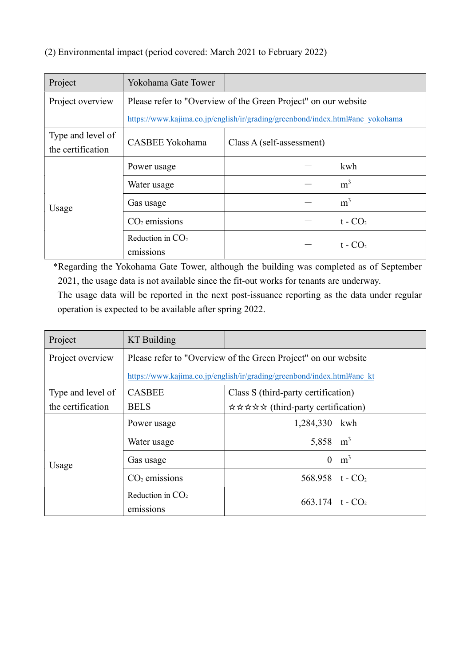## (2) Environmental impact (period covered: March 2021 to February 2022)

| Project           | Yokohama Gate Tower                                                           |                           |  |
|-------------------|-------------------------------------------------------------------------------|---------------------------|--|
| Project overview  | Please refer to "Overview of the Green Project" on our website                |                           |  |
|                   | https://www.kajima.co.jp/english/ir/grading/greenbond/index.html#anc_yokohama |                           |  |
| Type and level of | CASBEE Yokohama                                                               | Class A (self-assessment) |  |
| the certification |                                                                               |                           |  |
| Usage             | Power usage                                                                   | kwh                       |  |
|                   | Water usage                                                                   | m <sup>3</sup>            |  |
|                   | Gas usage                                                                     | m <sup>3</sup>            |  |
|                   | $CO2$ emissions                                                               | $t - CO2$                 |  |
|                   | Reduction in $CO2$                                                            | $t - CO2$                 |  |
|                   | emissions                                                                     |                           |  |

\*Regarding the Yokohama Gate Tower, although the building was completed as of September 2021, the usage data is not available since the fit-out works for tenants are underway.

The usage data will be reported in the next post-issuance reporting as the data under regular operation is expected to be available after spring 2022.

| Project           | <b>KT</b> Building                                                      |                                     |  |
|-------------------|-------------------------------------------------------------------------|-------------------------------------|--|
| Project overview  | Please refer to "Overview of the Green Project" on our website          |                                     |  |
|                   | https://www.kajima.co.jp/english/ir/grading/greenbond/index.html#anc_kt |                                     |  |
| Type and level of | <b>CASBEE</b>                                                           | Class S (third-party certification) |  |
| the certification | <b>BELS</b>                                                             | ☆☆☆☆☆ (third-party certification)   |  |
| Usage             | Power usage                                                             | 1,284,330 kwh                       |  |
|                   | Water usage                                                             | 5,858 $m^3$                         |  |
|                   | Gas usage                                                               | m <sup>3</sup><br>$\theta$          |  |
|                   | $CO2$ emissions                                                         | 568.958 $t - CO2$                   |  |
|                   | Reduction in $CO2$<br>emissions                                         | 663.174 $t - CO2$                   |  |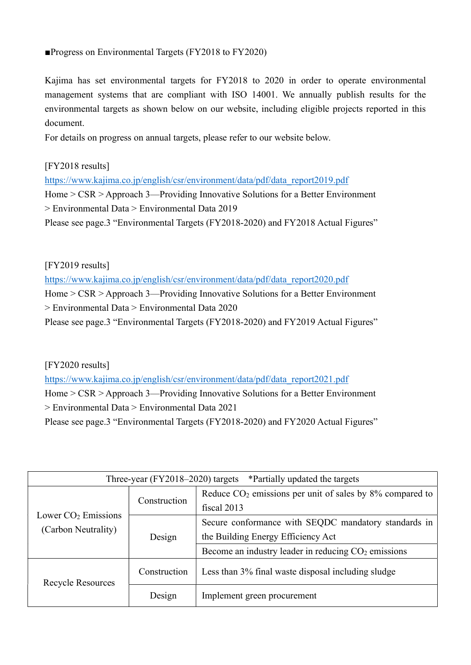## ■Progress on Environmental Targets (FY2018 to FY2020)

Kajima has set environmental targets for FY2018 to 2020 in order to operate environmental management systems that are compliant with ISO 14001. We annually publish results for the environmental targets as shown below on our website, including eligible projects reported in this document.

For details on progress on annual targets, please refer to our website below.

[FY2018 results]

https://www.kajima.co.jp/english/csr/environment/data/pdf/data\_report2019.pdf Home > CSR > Approach 3—Providing Innovative Solutions for a Better Environment > Environmental Data > Environmental Data 2019 Please see page.3 "Environmental Targets (FY2018-2020) and FY2018 Actual Figures"

[FY2019 results]

https://www.kajima.co.jp/english/csr/environment/data/pdf/data\_report2020.pdf Home > CSR > Approach 3—Providing Innovative Solutions for a Better Environment > Environmental Data > Environmental Data 2020 Please see page.3 "Environmental Targets (FY2018-2020) and FY2019 Actual Figures"

[FY2020 results]

https://www.kajima.co.jp/english/csr/environment/data/pdf/data\_report2021.pdf

Home > CSR > Approach 3—Providing Innovative Solutions for a Better Environment > Environmental Data > Environmental Data 2021

Please see page.3 "Environmental Targets (FY2018-2020) and FY2020 Actual Figures"

| Three-year $(FY2018-2020)$ targets<br>*Partially updated the targets |              |                                                               |  |
|----------------------------------------------------------------------|--------------|---------------------------------------------------------------|--|
| Lower $CO2$ Emissions<br>(Carbon Neutrality)                         | Construction | Reduce $CO2$ emissions per unit of sales by $8\%$ compared to |  |
|                                                                      |              | fiscal 2013                                                   |  |
|                                                                      | Design       | Secure conformance with SEQDC mandatory standards in          |  |
|                                                                      |              | the Building Energy Efficiency Act                            |  |
|                                                                      |              | Become an industry leader in reducing $CO2$ emissions         |  |
| <b>Recycle Resources</b>                                             | Construction | Less than 3% final waste disposal including sludge            |  |
|                                                                      | Design       | Implement green procurement                                   |  |